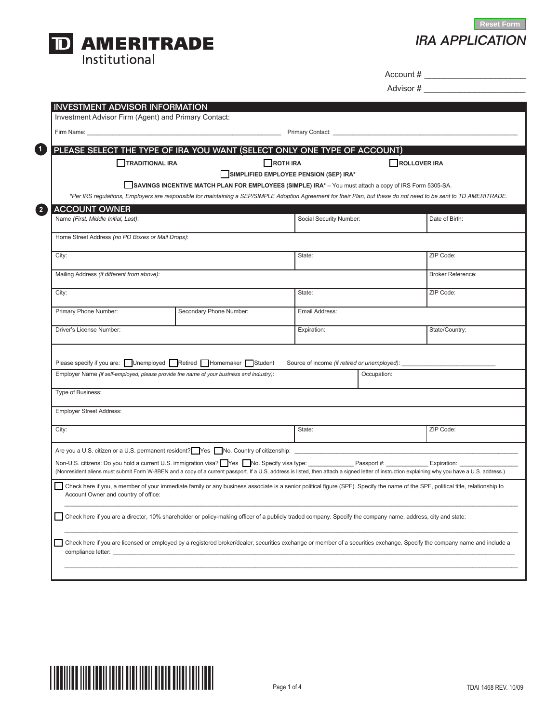

IRA APPLICATION **Reset Form**

Account # \_\_\_\_\_\_\_\_\_\_\_\_\_\_\_\_\_\_\_\_

Advisor # \_\_\_\_\_\_\_\_\_\_\_\_\_\_\_\_\_\_\_\_

|                                                                                          |                        | PLEASE SELECT THE TYPE OF IRA YOU WANT (SELECT ONLY ONE TYPE OF ACCOUNT)                                                                                         |                                        |                                                 |                                                                                                                                                                                                |  |
|------------------------------------------------------------------------------------------|------------------------|------------------------------------------------------------------------------------------------------------------------------------------------------------------|----------------------------------------|-------------------------------------------------|------------------------------------------------------------------------------------------------------------------------------------------------------------------------------------------------|--|
|                                                                                          | <b>TRADITIONAL IRA</b> |                                                                                                                                                                  | <b>NOTH IRA</b>                        |                                                 | ROLLOVER IRA                                                                                                                                                                                   |  |
|                                                                                          |                        |                                                                                                                                                                  | SIMPLIFIED EMPLOYEE PENSION (SEP) IRA* |                                                 |                                                                                                                                                                                                |  |
|                                                                                          |                        | SAVINGS INCENTIVE MATCH PLAN FOR EMPLOYEES (SIMPLE) IRA* - You must attach a copy of IRS Form 5305-SA.                                                           |                                        |                                                 |                                                                                                                                                                                                |  |
|                                                                                          |                        |                                                                                                                                                                  |                                        |                                                 | *Per IRS regulations, Employers are responsible for maintaining a SEP/SIMPLE Adoption Agreement for their Plan, but these do not need to be sent to TD AMERITRADE.                             |  |
| ACCOUNT OWNER                                                                            |                        |                                                                                                                                                                  |                                        |                                                 |                                                                                                                                                                                                |  |
| Name (First, Middle Initial, Last):                                                      |                        |                                                                                                                                                                  | Social Security Number:                |                                                 | Date of Birth:                                                                                                                                                                                 |  |
|                                                                                          |                        |                                                                                                                                                                  |                                        |                                                 |                                                                                                                                                                                                |  |
| Home Street Address (no PO Boxes or Mail Drops):                                         |                        |                                                                                                                                                                  |                                        |                                                 |                                                                                                                                                                                                |  |
| City:                                                                                    |                        |                                                                                                                                                                  | State:                                 |                                                 | ZIP Code:                                                                                                                                                                                      |  |
|                                                                                          |                        |                                                                                                                                                                  |                                        |                                                 |                                                                                                                                                                                                |  |
| Mailing Address (if different from above):                                               |                        |                                                                                                                                                                  |                                        |                                                 | <b>Broker Reference:</b>                                                                                                                                                                       |  |
| City:                                                                                    |                        |                                                                                                                                                                  | State:                                 |                                                 | ZIP Code:                                                                                                                                                                                      |  |
|                                                                                          |                        |                                                                                                                                                                  |                                        |                                                 |                                                                                                                                                                                                |  |
| Primary Phone Number:                                                                    |                        | Secondary Phone Number:                                                                                                                                          | Email Address:                         |                                                 |                                                                                                                                                                                                |  |
|                                                                                          |                        |                                                                                                                                                                  |                                        |                                                 |                                                                                                                                                                                                |  |
| Driver's License Number:                                                                 |                        |                                                                                                                                                                  | Expiration:                            |                                                 | State/Country:                                                                                                                                                                                 |  |
|                                                                                          |                        | Please specify if you are: Unemployed Retired Homemaker Student                                                                                                  |                                        | Source of income (if retired or unemployed): __ |                                                                                                                                                                                                |  |
| Employer Name (if self-employed, please provide the name of your business and industry): |                        | Occupation:                                                                                                                                                      |                                        |                                                 |                                                                                                                                                                                                |  |
| Type of Business:                                                                        |                        |                                                                                                                                                                  |                                        |                                                 |                                                                                                                                                                                                |  |
|                                                                                          |                        |                                                                                                                                                                  |                                        |                                                 |                                                                                                                                                                                                |  |
| <b>Employer Street Address:</b>                                                          |                        |                                                                                                                                                                  |                                        |                                                 |                                                                                                                                                                                                |  |
| City:                                                                                    |                        |                                                                                                                                                                  | State:                                 |                                                 | ZIP Code:                                                                                                                                                                                      |  |
|                                                                                          |                        |                                                                                                                                                                  |                                        |                                                 |                                                                                                                                                                                                |  |
|                                                                                          |                        | Are you a U.S. citizen or a U.S. permanent resident? Yes No. Country of citizenship: _______________                                                             |                                        |                                                 |                                                                                                                                                                                                |  |
|                                                                                          |                        | Non-U.S. citizens: Do you hold a current U.S. immigration visa? Wes Who. Specify visa type: ______________ Passport #: ______________ Expiration: ______________ |                                        |                                                 |                                                                                                                                                                                                |  |
|                                                                                          |                        |                                                                                                                                                                  |                                        |                                                 | (Nonresident aliens must submit Form W-8BEN and a copy of a current passport. If a U.S. address is listed, then attach a signed letter of instruction explaining why you have a U.S. address.) |  |
| Account Owner and country of office:                                                     |                        |                                                                                                                                                                  |                                        |                                                 | Check here if you, a member of your immediate family or any business associate is a senior political figure (SPF). Specify the name of the SPF, political title, relationship to               |  |
|                                                                                          |                        | Check here if you are a director, 10% shareholder or policy-making officer of a publicly traded company. Specify the company name, address, city and state:      |                                        |                                                 |                                                                                                                                                                                                |  |
|                                                                                          |                        |                                                                                                                                                                  |                                        |                                                 |                                                                                                                                                                                                |  |
|                                                                                          |                        |                                                                                                                                                                  |                                        |                                                 | Check here if you are licensed or employed by a registered broker/dealer, securities exchange or member of a securities exchange. Specify the company name and include a                       |  |

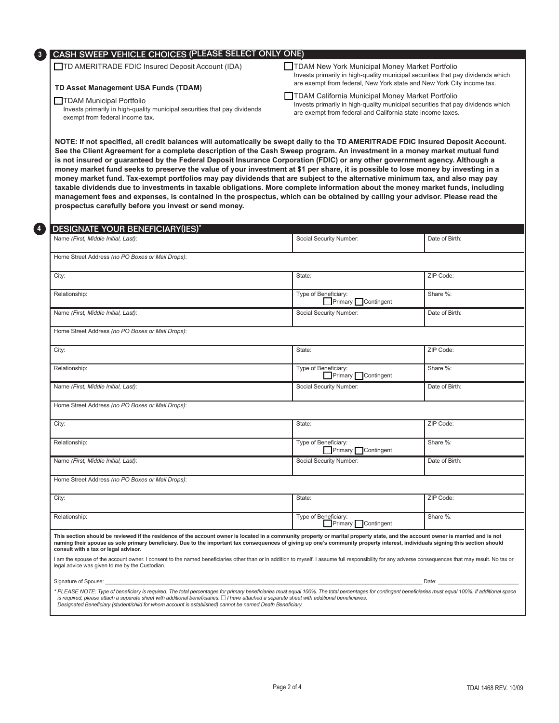

# CASH SWEEP VEHICLE CHOICES (Please select only one)

TD AMERITRADE FDIC Insured Deposit Account (IDA)

### **TD Asset Management USA Funds (TDAM)**

#### TDAM Municipal Portfolio

Invests primarily in high-quality municipal securities that pay dividends exempt from federal income tax.

- $\Box$  TDAM New York Municipal Money Market Portfolio Invests primarily in high-quality municipal securities that pay dividends which are exempt from federal, New York state and New York City income tax.
- TDAM California Municipal Money Market Portfolio Invests primarily in high-quality municipal securities that pay dividends which are exempt from federal and California state income taxes.

**NOTE: If not specified, all credit balances will automatically be swept daily to the TD AMERITRADE FDIC Insured Deposit Account. See the Client Agreement for a complete description of the Cash Sweep program. An investment in a money market mutual fund is not insured or guaranteed by the Federal Deposit Insurance Corporation (FDIC) or any other government agency. Although a money market fund seeks to preserve the value of your investment at \$1 per share, it is possible to lose money by investing in a money market fund. Tax-exempt portfolios may pay dividends that are subject to the alternative minimum tax, and also may pay taxable dividends due to investments in taxable obligations. More complete information about the money market funds, including management fees and expenses, is contained in the prospectus, which can be obtained by calling your advisor. Please read the prospectus carefully before you invest or send money.**

| Name (First, Middle Initial, Last):                                                                                                                                                                                                                                                                                                                                                                                                                                        | Social Security Number:                    | Date of Birth: |
|----------------------------------------------------------------------------------------------------------------------------------------------------------------------------------------------------------------------------------------------------------------------------------------------------------------------------------------------------------------------------------------------------------------------------------------------------------------------------|--------------------------------------------|----------------|
| Home Street Address (no PO Boxes or Mail Drops):                                                                                                                                                                                                                                                                                                                                                                                                                           |                                            |                |
| City:                                                                                                                                                                                                                                                                                                                                                                                                                                                                      | State:                                     | ZIP Code:      |
| Relationship:                                                                                                                                                                                                                                                                                                                                                                                                                                                              | Type of Beneficiary:<br>Primary Contingent | Share %:       |
| Name (First, Middle Initial, Last):                                                                                                                                                                                                                                                                                                                                                                                                                                        | Social Security Number:                    | Date of Birth: |
| Home Street Address (no PO Boxes or Mail Drops):                                                                                                                                                                                                                                                                                                                                                                                                                           |                                            |                |
| City:                                                                                                                                                                                                                                                                                                                                                                                                                                                                      | State:                                     | ZIP Code:      |
| Relationship:                                                                                                                                                                                                                                                                                                                                                                                                                                                              | Type of Beneficiary:<br>Primary Contingent | Share %:       |
| Name (First, Middle Initial, Last):                                                                                                                                                                                                                                                                                                                                                                                                                                        | Social Security Number:                    | Date of Birth: |
| Home Street Address (no PO Boxes or Mail Drops):                                                                                                                                                                                                                                                                                                                                                                                                                           |                                            |                |
| City:                                                                                                                                                                                                                                                                                                                                                                                                                                                                      | State:                                     | ZIP Code:      |
| Relationship:                                                                                                                                                                                                                                                                                                                                                                                                                                                              | Type of Beneficiary:<br>Primary Contingent | Share %:       |
| Name (First, Middle Initial, Last):                                                                                                                                                                                                                                                                                                                                                                                                                                        | Social Security Number:                    | Date of Birth: |
| Home Street Address (no PO Boxes or Mail Drops):                                                                                                                                                                                                                                                                                                                                                                                                                           |                                            |                |
| City:                                                                                                                                                                                                                                                                                                                                                                                                                                                                      | State:                                     | ZIP Code:      |
| Relationship:                                                                                                                                                                                                                                                                                                                                                                                                                                                              | Type of Beneficiary:<br>Primary Contingent | Share %:       |
| This section should be reviewed if the residence of the account owner is located in a community property or marital property state, and the account owner is married and is not<br>naming their spouse as sole primary beneficiary. Due to the important tax consequences of giving up one's community property interest, individuals signing this section should<br>consult with a tax or legal advisor.                                                                  |                                            |                |
| I am the spouse of the account owner. I consent to the named beneficiaries other than or in addition to myself. I assume full responsibility for any adverse consequences that may result. No tax or<br>legal advice was given to me by the Custodian.                                                                                                                                                                                                                     |                                            |                |
| Signature of Spouse: the contract of the contract of the contract of the contract of Spouse:                                                                                                                                                                                                                                                                                                                                                                               |                                            |                |
| * PLEASE NOTE: Type of beneficiary is required. The total percentages for primary beneficiaries must equal 100%. The total percentages for contingent beneficiaries must equal 100%. If additional space<br>is required, please attach a separate sheet with additional beneficiaries. $\Box$ I have attached a separate sheet with additional beneficiaries.<br>Designated Beneficiary (student/child for whom account is established) cannot be named Death Beneficiary. |                                            |                |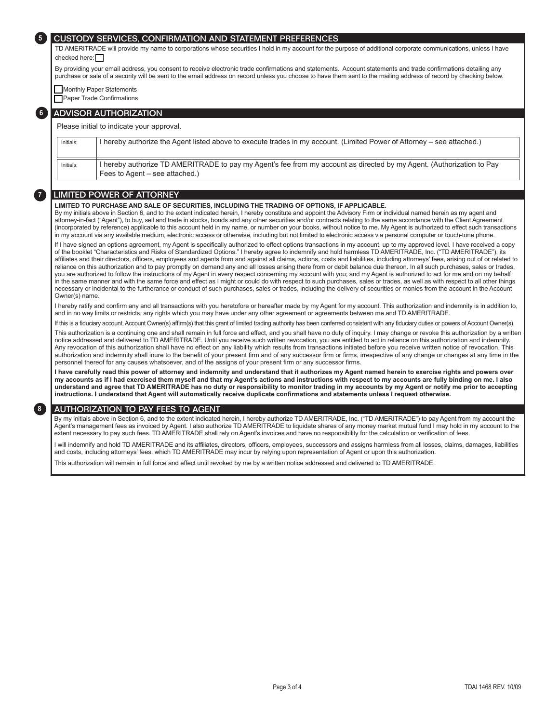#### CUSTODY SERVICES, CONFIRMATION AND STATEMENT PREFERENCES

TD AMERITRADE will provide my name to corporations whose securities I hold in my account for the purpose of additional corporate communications, unless I have  $checked$  here:

By providing your email address, you consent to receive electronic trade confirmations and statements. Account statements and trade confirmations detailing any purchase or sale of a security will be sent to the email address on record unless you choose to have them sent to the mailing address of record by checking below.

**Monthly Paper Statements** 

**5**

**8**

**Paper Trade Confirmations** 

### **6** ADVISOR AUTHORIZATION

#### Please initial to indicate your approval.

Initials: Intereby authorize the Agent listed above to execute trades in my account. (Limited Power of Attorney – see attached.) Initials: I hereby authorize TD AMERITRADE to pay my Agent's fee from my account as directed by my Agent. (Authorization to Pay Fees to Agent – see attached.)

## **7** LIMITED POWER OF ATTORNEY

**LIMITED TO PURCHASE AND SALE OF SECURITIES, INCLUDING THE TRADING OF OPTIONS, IF APPLICABLE.**

By my initials above in Section 6, and to the extent indicated herein, I hereby constitute and appoint the Advisory Firm or individual named herein as my agent and attorney-in-fact ("Agent"), to buy, sell and trade in stocks, bonds and any other securities and/or contracts relating to the same accordance with the Client Agreement (incorporated by reference) applicable to this account held in my name, or number on your books, without notice to me. My Agent is authorized to effect such transactions in my account via any available medium, electronic access or otherwise, including but not limited to electronic access via personal computer or touch-tone phone.

If I have signed an options agreement, my Agent is specifically authorized to effect options transactions in my account, up to my approved level. I have received a copy of the booklet "Characteristics and Risks of Standardized Options." I hereby agree to indemnify and hold harmless TD AMERITRADE, Inc. ("TD AMERITRADE"), its affiliates and their directors, officers, employees and agents from and against all claims, actions, costs and liabilities, including attorneys' fees, arising out of or related to reliance on this authorization and to pay promptly on demand any and all losses arising there from or debit balance due thereon. In all such purchases, sales or trades, you are authorized to follow the instructions of my Agent in every respect concerning my account with you; and my Agent is authorized to act for me and on my behalf in the same manner and with the same force and effect as I might or could do with respect to such purchases, sales or trades, as well as with respect to all other things necessary or incidental to the furtherance or conduct of such purchases, sales or trades, including the delivery of securities or monies from the account in the Account Owner(s) name.

I hereby ratify and confirm any and all transactions with you heretofore or hereafter made by my Agent for my account. This authorization and indemnity is in addition to, and in no way limits or restricts, any rights which you may have under any other agreement or agreements between me and TD AMERITRADE.

If this is a fiduciary account, Account Owner(s) affirm(s) that this grant of limited trading authority has been conferred consistent with any fiduciary duties or powers of Account Owner(s).

This authorization is a continuing one and shall remain in full force and effect, and you shall have no duty of inquiry. I may change or revoke this authorization by a written notice addressed and delivered to TD AMERITRADE. Until you receive such written revocation, you are entitled to act in reliance on this authorization and indemnity. Any revocation of this authorization shall have no effect on any liability which results from transactions initiated before you receive written notice of revocation. This authorization and indemnity shall inure to the benefit of your present firm and of any successor firm or firms, irrespective of any change or changes at any time in the personnel thereof for any causes whatsoever, and of the assigns of your present firm or any successor firms.

**I have carefully read this power of attorney and indemnity and understand that it authorizes my Agent named herein to exercise rights and powers over my accounts as if I had exercised them myself and that my Agent's actions and instructions with respect to my accounts are fully binding on me. I also understand and agree that TD AMERITRADE has no duty or responsibility to monitor trading in my accounts by my Agent or notify me prior to accepting instructions. I understand that Agent will automatically receive duplicate confirmations and statements unless I request otherwise.**

## AUTHORIZATION TO PAY FEES TO AGENT

By my initials above in Section 6, and to the extent indicated herein, I hereby authorize TD AMERITRADE, Inc. ("TD AMERITRADE") to pay Agent from my account the Agent's management fees as invoiced by Agent. I also authorize TD AMERITRADE to liquidate shares of any money market mutual fund I may hold in my account to the extent necessary to pay such fees. TD AMERITRADE shall rely on Agent's invoices and have no responsibility for the calculation or verification of fees.

I will indemnify and hold TD AMERITRADE and its affiliates, directors, officers, employees, successors and assigns harmless from all losses, claims, damages, liabilities and costs, including attorneys' fees, which TD AMERITRADE may incur by relying upon representation of Agent or upon this authorization.

This authorization will remain in full force and effect until revoked by me by a written notice addressed and delivered to TD AMERITRADE.